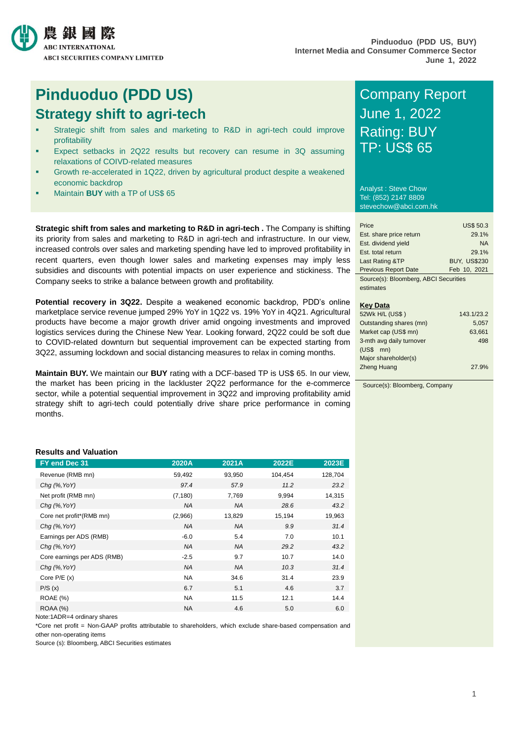

## **Pinduoduo (PDD US)** Company Report **Strategy shift to agri-tech** June 1, 2022

- Strategic shift from sales and marketing to R&D in agri-tech could improve profitability
- Expect setbacks in 2Q22 results but recovery can resume in 3Q assuming relaxations of COIVD-related measures
- Growth re-accelerated in 1Q22, driven by agricultural product despite a weakened economic backdrop
- Maintain **BUY** with a TP of US\$ 65

**Strategic shift from sales and marketing to R&D in agri-tech .** The Company is shifting its priority from sales and marketing to R&D in agri-tech and infrastructure. In our view, increased controls over sales and marketing spending have led to improved profitability in recent quarters, even though lower sales and marketing expenses may imply less subsidies and discounts with potential impacts on user experience and stickiness. The Company seeks to strike a balance between growth and profitability.

**Potential recovery in 3Q22.** Despite a weakened economic backdrop, PDD's online marketplace service revenue jumped 29% YoY in 1Q22 vs. 19% YoY in 4Q21. Agricultural products have become a major growth driver amid ongoing investments and improved logistics services during the Chinese New Year. Looking forward, 2Q22 could be soft due to COVID-related downturn but sequential improvement can be expected starting from 3Q22, assuming lockdown and social distancing measures to relax in coming months.

**Maintain BUY.** We maintain our **BUY** rating with a DCF-based TP is US\$ 65. In our view, the market has been pricing in the lackluster 2Q22 performance for the e-commerce sector, while a potential sequential improvement in 3Q22 and improving profitability amid strategy shift to agri-tech could potentially drive share price performance in coming months.

# Rating: BUY TP: US\$ 65

Analyst : Steve Chow Tel: (852) 2147 8809 stevechow@abci.com.hk

| Price                                 | <b>US\$ 50.3</b>    |
|---------------------------------------|---------------------|
| Est. share price return               | 29.1%               |
| Est. dividend yield                   | <b>NA</b>           |
| Est. total return                     | 29.1%               |
| Last Rating &TP                       | <b>BUY. US\$230</b> |
| <b>Previous Report Date</b>           | Feb 10, 2021        |
| Source(s): Bloomberg, ABCJ Securities |                     |

Source(s): Bloomberg, ABCI Securities estimates

## **Key Data**

| 52Wk H/L (US\$)          | 143.1/23.2 |
|--------------------------|------------|
| Outstanding shares (mn)  | 5.057      |
| Market cap (US\$ mn)     | 63,661     |
| 3-mth avg daily turnover | 498        |
| $(USS$ mn)               |            |
| Major shareholder(s)     |            |
| <b>Zheng Huang</b>       | 27.9%      |
|                          |            |

Source(s): Bloomberg, Company

## **Results and Valuation**

| FY end Dec 31               | 2020A     | 2021A     | 2022E   | 2023E   |
|-----------------------------|-----------|-----------|---------|---------|
| Revenue (RMB mn)            | 59,492    | 93,950    | 104,454 | 128,704 |
| $Chg$ (%, YoY)              | 97.4      | 57.9      | 11.2    | 23.2    |
| Net profit (RMB mn)         | (7, 180)  | 7,769     | 9,994   | 14,315  |
| $Chq$ (%, YoY)              | NA        | <b>NA</b> | 28.6    | 43.2    |
| Core net profit*(RMB mn)    | (2,966)   | 13,829    | 15,194  | 19,963  |
| $Chg$ (%, YoY)              | <b>NA</b> | <b>NA</b> | 9.9     | 31.4    |
| Earnings per ADS (RMB)      | $-6.0$    | 5.4       | 7.0     | 10.1    |
| $Chq$ (%, YoY)              | <b>NA</b> | <b>NA</b> | 29.2    | 43.2    |
| Core earnings per ADS (RMB) | $-2.5$    | 9.7       | 10.7    | 14.0    |
| $Chq$ (%, YoY)              | <b>NA</b> | <b>NA</b> | 10.3    | 31.4    |
| Core $P/E(x)$               | <b>NA</b> | 34.6      | 31.4    | 23.9    |
| P/S(x)                      | 6.7       | 5.1       | 4.6     | 3.7     |
| <b>ROAE</b> (%)             | <b>NA</b> | 11.5      | 12.1    | 14.4    |
| <b>ROAA (%)</b>             | <b>NA</b> | 4.6       | 5.0     | 6.0     |

Note:1ADR=4 ordinary shares

\*Core net profit = Non-GAAP profits attributable to shareholders, which exclude share-based compensation and other non-operating items

Source (s): Bloomberg, ABCI Securities estimates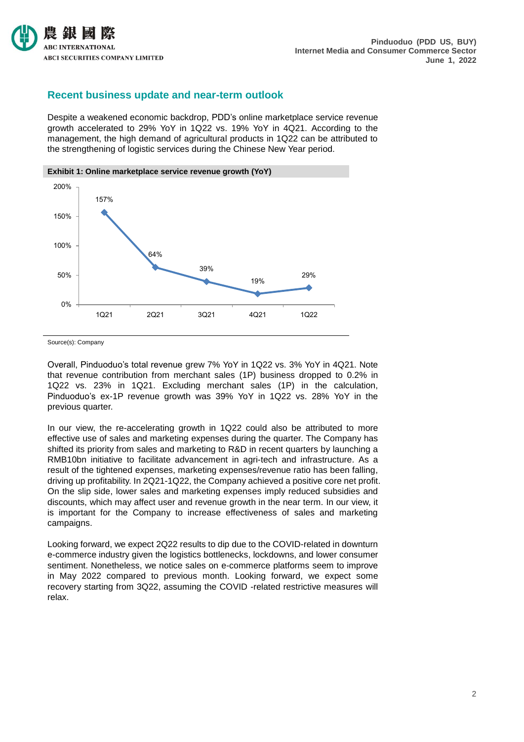

## **Recent business update and near-term outlook**

Despite a weakened economic backdrop, PDD's online marketplace service revenue growth accelerated to 29% YoY in 1Q22 vs. 19% YoY in 4Q21. According to the management, the high demand of agricultural products in 1Q22 can be attributed to the strengthening of logistic services during the Chinese New Year period.



Source(s): Company

Overall, Pinduoduo's total revenue grew 7% YoY in 1Q22 vs. 3% YoY in 4Q21. Note that revenue contribution from merchant sales (1P) business dropped to 0.2% in 1Q22 vs. 23% in 1Q21. Excluding merchant sales (1P) in the calculation, Pinduoduo's ex-1P revenue growth was 39% YoY in 1Q22 vs. 28% YoY in the previous quarter.

In our view, the re-accelerating growth in 1Q22 could also be attributed to more effective use of sales and marketing expenses during the quarter. The Company has shifted its priority from sales and marketing to R&D in recent quarters by launching a RMB10bn initiative to facilitate advancement in agri-tech and infrastructure. As a result of the tightened expenses, marketing expenses/revenue ratio has been falling, driving up profitability. In 2Q21-1Q22, the Company achieved a positive core net profit. On the slip side, lower sales and marketing expenses imply reduced subsidies and discounts, which may affect user and revenue growth in the near term. In our view, it is important for the Company to increase effectiveness of sales and marketing campaigns.

Looking forward, we expect 2Q22 results to dip due to the COVID-related in downturn e-commerce industry given the logistics bottlenecks, lockdowns, and lower consumer sentiment. Nonetheless, we notice sales on e-commerce platforms seem to improve in May 2022 compared to previous month. Looking forward, we expect some recovery starting from 3Q22, assuming the COVID -related restrictive measures will relax.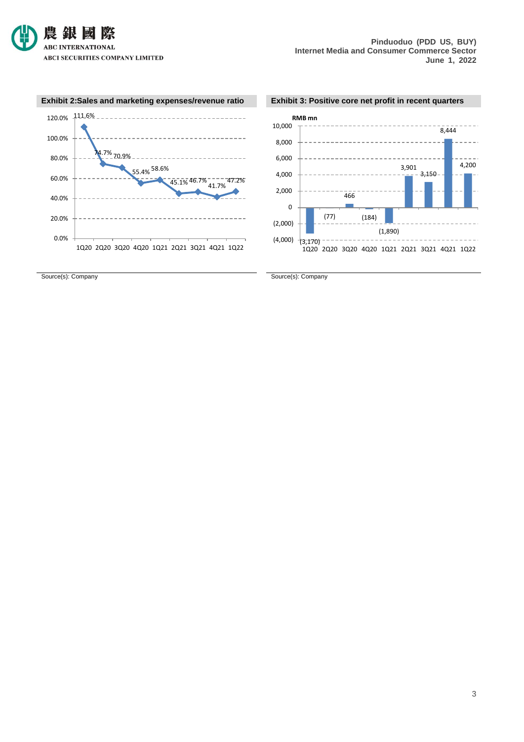

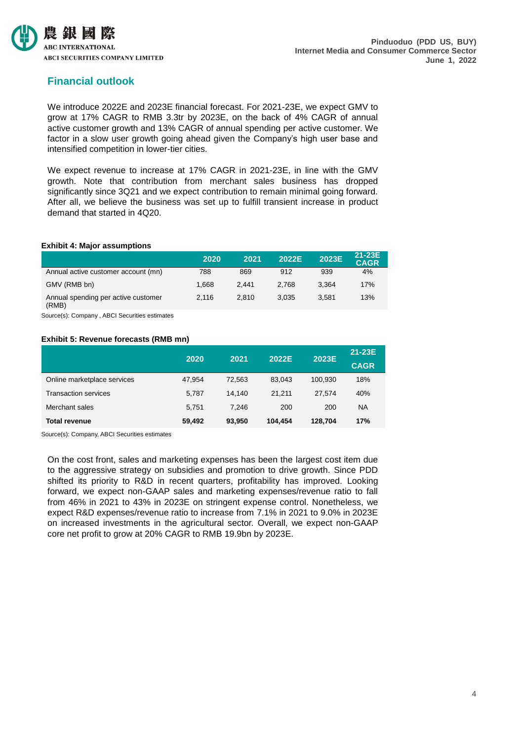

## **Financial outlook**

We introduce 2022E and 2023E financial forecast. For 2021-23E, we expect GMV to grow at 17% CAGR to RMB 3.3tr by 2023E, on the back of 4% CAGR of annual active customer growth and 13% CAGR of annual spending per active customer. We factor in a slow user growth going ahead given the Company's high user base and intensified competition in lower-tier cities.

We expect revenue to increase at 17% CAGR in 2021-23E, in line with the GMV growth. Note that contribution from merchant sales business has dropped significantly since 3Q21 and we expect contribution to remain minimal going forward. After all, we believe the business was set up to fulfill transient increase in product demand that started in 4Q20.

## **Exhibit 4: Major assumptions**

|                                              | 2020  | 2021  | 2022E | 2023E | 21-23E<br><b>CAGR</b> |
|----------------------------------------------|-------|-------|-------|-------|-----------------------|
| Annual active customer account (mn)          | 788   | 869   | 912   | 939   | 4%                    |
| GMV (RMB bn)                                 | 1.668 | 2.441 | 2.768 | 3.364 | 17%                   |
| Annual spending per active customer<br>(RMB) | 2.116 | 2.810 | 3.035 | 3.581 | 13%                   |

Source(s): Company , ABCI Securities estimates

## **Exhibit 5: Revenue forecasts (RMB mn)**

|                             | 2020   | 2021   | 2022E   | 2023E   | 21-23E      |
|-----------------------------|--------|--------|---------|---------|-------------|
|                             |        |        |         |         | <b>CAGR</b> |
| Online marketplace services | 47.954 | 72.563 | 83.043  | 100.930 | 18%         |
| <b>Transaction services</b> | 5.787  | 14.140 | 21.211  | 27.574  | 40%         |
| Merchant sales              | 5.751  | 7.246  | 200     | 200     | <b>NA</b>   |
| <b>Total revenue</b>        | 59.492 | 93,950 | 104.454 | 128.704 | 17%         |

Source(s): Company, ABCI Securities estimates

On the cost front, sales and marketing expenses has been the largest cost item due to the aggressive strategy on subsidies and promotion to drive growth. Since PDD shifted its priority to R&D in recent quarters, profitability has improved. Looking forward, we expect non-GAAP sales and marketing expenses/revenue ratio to fall from 46% in 2021 to 43% in 2023E on stringent expense control. Nonetheless, we expect R&D expenses/revenue ratio to increase from 7.1% in 2021 to 9.0% in 2023E on increased investments in the agricultural sector. Overall, we expect non-GAAP core net profit to grow at 20% CAGR to RMB 19.9bn by 2023E.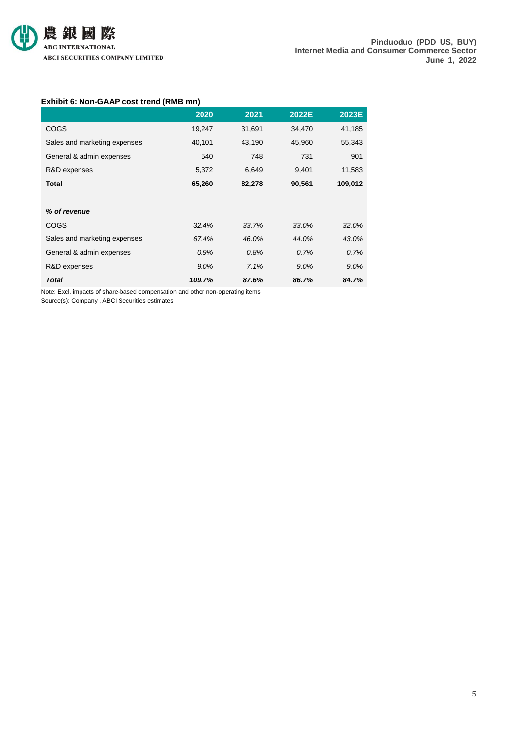

## **Exhibit 6: Non-GAAP cost trend (RMB mn)**

|                              | 2020   | 2021   | 2022E  | 2023E   |
|------------------------------|--------|--------|--------|---------|
| <b>COGS</b>                  | 19,247 | 31,691 | 34,470 | 41,185  |
| Sales and marketing expenses | 40,101 | 43,190 | 45,960 | 55,343  |
| General & admin expenses     | 540    | 748    | 731    | 901     |
| R&D expenses                 | 5,372  | 6,649  | 9,401  | 11,583  |
| <b>Total</b>                 | 65,260 | 82,278 | 90,561 | 109,012 |
|                              |        |        |        |         |
| % of revenue                 |        |        |        |         |
| <b>COGS</b>                  | 32.4%  | 33.7%  | 33.0%  | 32.0%   |
| Sales and marketing expenses | 67.4%  | 46.0%  | 44.0%  | 43.0%   |
| General & admin expenses     | 0.9%   | 0.8%   | 0.7%   | 0.7%    |
| R&D expenses                 | 9.0%   | 7.1%   | 9.0%   | 9.0%    |
| <b>Total</b>                 | 109.7% | 87.6%  | 86.7%  | 84.7%   |

Note: Excl. impacts of share-based compensation and other non-operating items Source(s): Company , ABCI Securities estimates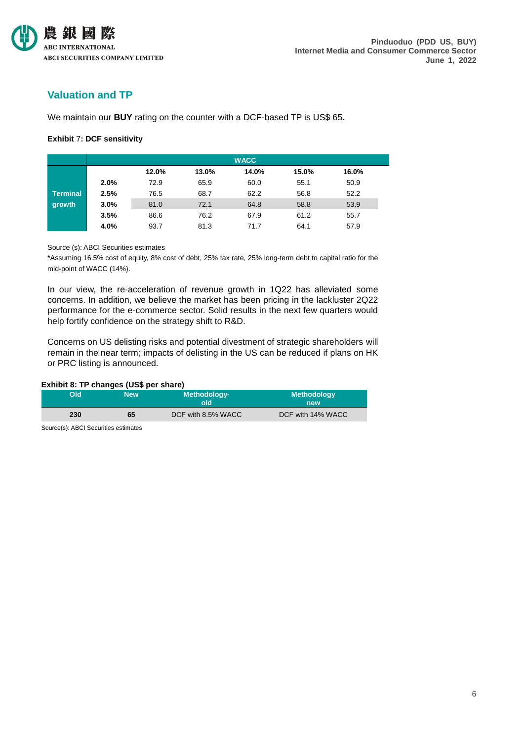

## **Valuation and TP**

We maintain our **BUY** rating on the counter with a DCF-based TP is US\$ 65.

## **Exhibit** 7**: DCF sensitivity**

|                 |      |       |       | <b>WACC</b> |       |       |
|-----------------|------|-------|-------|-------------|-------|-------|
|                 |      | 12.0% | 13.0% | 14.0%       | 15.0% | 16.0% |
|                 | 2.0% | 72.9  | 65.9  | 60.0        | 55.1  | 50.9  |
| <b>Terminal</b> | 2.5% | 76.5  | 68.7  | 62.2        | 56.8  | 52.2  |
| growth          | 3.0% | 81.0  | 72.1  | 64.8        | 58.8  | 53.9  |
|                 | 3.5% | 86.6  | 76.2  | 67.9        | 61.2  | 55.7  |
|                 | 4.0% | 93.7  | 81.3  | 71.7        | 64.1  | 57.9  |

## Source (s): ABCI Securities estimates

\*Assuming 16.5% cost of equity, 8% cost of debt, 25% tax rate, 25% long-term debt to capital ratio for the mid-point of WACC (14%).

In our view, the re-acceleration of revenue growth in 1Q22 has alleviated some concerns. In addition, we believe the market has been pricing in the lackluster 2Q22 performance for the e-commerce sector. Solid results in the next few quarters would help fortify confidence on the strategy shift to R&D.

Concerns on US delisting risks and potential divestment of strategic shareholders will remain in the near term; impacts of delisting in the US can be reduced if plans on HK or PRC listing is announced.

## **Exhibit 8: TP changes (US\$ per share)**

| blO | <b>New</b> | Methodology-<br>old | <b>Methodology</b><br>new |  |
|-----|------------|---------------------|---------------------------|--|
| 230 | 65         | DCF with 8.5% WACC  | DCF with 14% WACC         |  |

Source(s): ABCI Securities estimates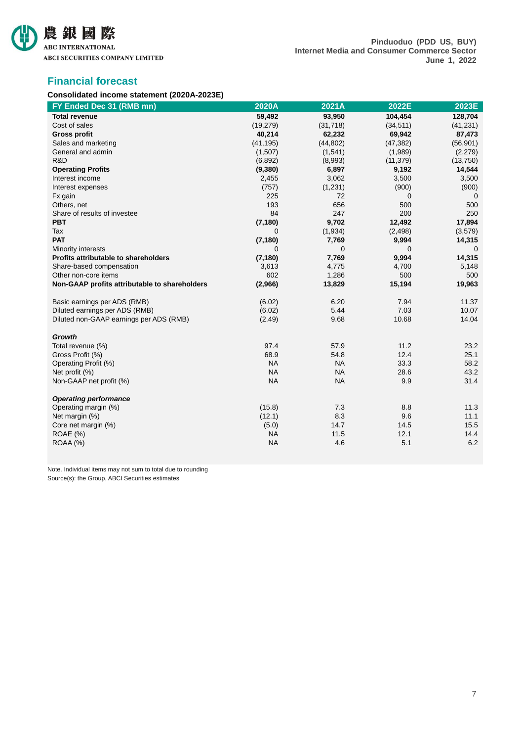

## **Financial forecast**

## **Consolidated income statement (2020A-2023E)**

| FY Ended Dec 31 (RMB mn)                      | 2020A     | 2021A     | 2022E     | 2023E     |
|-----------------------------------------------|-----------|-----------|-----------|-----------|
| <b>Total revenue</b>                          | 59,492    | 93,950    | 104,454   | 128,704   |
| Cost of sales                                 | (19, 279) | (31, 718) | (34, 511) | (41, 231) |
| <b>Gross profit</b>                           | 40,214    | 62,232    | 69,942    | 87,473    |
| Sales and marketing                           | (41, 195) | (44, 802) | (47, 382) | (56, 901) |
| General and admin                             | (1,507)   | (1,541)   | (1,989)   | (2,279)   |
| R&D                                           | (6, 892)  | (8,993)   | (11, 379) | (13,750)  |
| <b>Operating Profits</b>                      | (9,380)   | 6,897     | 9,192     | 14,544    |
| Interest income                               | 2,455     | 3,062     | 3,500     | 3,500     |
| Interest expenses                             | (757)     | (1, 231)  | (900)     | (900)     |
| Fx gain                                       | 225       | 72        | 0         | 0         |
| Others, net                                   | 193       | 656       | 500       | 500       |
| Share of results of investee                  | 84        | 247       | 200       | 250       |
| <b>PBT</b>                                    | (7, 180)  | 9,702     | 12,492    | 17,894    |
| Tax                                           | $\Omega$  | (1,934)   | (2, 498)  | (3,579)   |
| <b>PAT</b>                                    | (7, 180)  | 7,769     | 9,994     | 14,315    |
| Minority interests                            | 0         | 0         | 0         | 0         |
| Profits attributable to shareholders          | (7, 180)  | 7,769     | 9,994     | 14,315    |
| Share-based compensation                      | 3,613     | 4,775     | 4,700     | 5,148     |
| Other non-core items                          | 602       | 1,286     | 500       | 500       |
| Non-GAAP profits attributable to shareholders | (2,966)   | 13,829    | 15,194    | 19,963    |
| Basic earnings per ADS (RMB)                  | (6.02)    | 6.20      | 7.94      | 11.37     |
| Diluted earnings per ADS (RMB)                | (6.02)    | 5.44      | 7.03      | 10.07     |
| Diluted non-GAAP earnings per ADS (RMB)       | (2.49)    | 9.68      | 10.68     | 14.04     |
| <b>Growth</b>                                 |           |           |           |           |
| Total revenue (%)                             | 97.4      | 57.9      | 11.2      | 23.2      |
| Gross Profit (%)                              | 68.9      | 54.8      | 12.4      | 25.1      |
| Operating Profit (%)                          | <b>NA</b> | <b>NA</b> | 33.3      | 58.2      |
| Net profit (%)                                | <b>NA</b> | <b>NA</b> | 28.6      | 43.2      |
| Non-GAAP net profit (%)                       | <b>NA</b> | <b>NA</b> | 9.9       | 31.4      |
| <b>Operating performance</b>                  |           |           |           |           |
| Operating margin (%)                          | (15.8)    | 7.3       | 8.8       | 11.3      |
| Net margin (%)                                | (12.1)    | 8.3       | 9.6       | 11.1      |
| Core net margin (%)                           | (5.0)     | 14.7      | 14.5      | 15.5      |
| <b>ROAE</b> (%)                               | <b>NA</b> | 11.5      | 12.1      | 14.4      |
| ROAA (%)                                      | <b>NA</b> | 4.6       | 5.1       | 6.2       |

Note. Individual items may not sum to total due to rounding Source(s): the Group, ABCI Securities estimates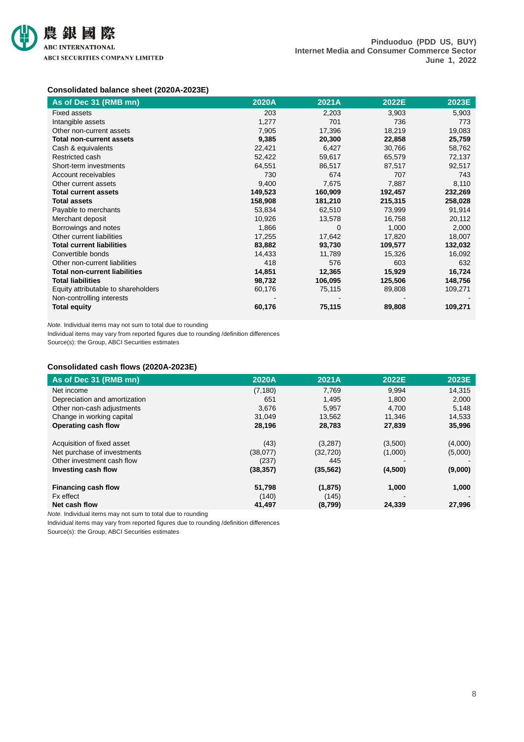

## **Consolidated balance sheet (2020A-2023E)**

| As of Dec 31 (RMB mn)                | 2020A   | 2021A    | 2022E   | 2023E   |
|--------------------------------------|---------|----------|---------|---------|
| <b>Fixed assets</b>                  | 203     | 2,203    | 3,903   | 5,903   |
| Intangible assets                    | 1,277   | 701      | 736     | 773     |
| Other non-current assets             | 7,905   | 17,396   | 18,219  | 19,083  |
| <b>Total non-current assets</b>      | 9,385   | 20,300   | 22,858  | 25,759  |
| Cash & equivalents                   | 22,421  | 6,427    | 30,766  | 58,762  |
| Restricted cash                      | 52,422  | 59,617   | 65,579  | 72,137  |
| Short-term investments               | 64,551  | 86,517   | 87,517  | 92,517  |
| Account receivables                  | 730     | 674      | 707     | 743     |
| Other current assets                 | 9,400   | 7,675    | 7,887   | 8,110   |
| <b>Total current assets</b>          | 149,523 | 160,909  | 192,457 | 232,269 |
| <b>Total assets</b>                  | 158,908 | 181,210  | 215,315 | 258,028 |
| Payable to merchants                 | 53,834  | 62,510   | 73,999  | 91,914  |
| Merchant deposit                     | 10,926  | 13,578   | 16,758  | 20,112  |
| Borrowings and notes                 | 1,866   | $\Omega$ | 1,000   | 2,000   |
| Other current liabilities            | 17,255  | 17,642   | 17,820  | 18,007  |
| <b>Total current liabilities</b>     | 83,882  | 93,730   | 109,577 | 132,032 |
| Convertible bonds                    | 14,433  | 11,789   | 15,326  | 16,092  |
| Other non-current liabilities        | 418     | 576      | 603     | 632     |
| <b>Total non-current liabilities</b> | 14,851  | 12,365   | 15,929  | 16,724  |
| <b>Total liabilities</b>             | 98,732  | 106,095  | 125,506 | 148,756 |
| Equity attributable to shareholders  | 60,176  | 75,115   | 89,808  | 109,271 |
| Non-controlling interests            |         |          |         |         |
| <b>Total equity</b>                  | 60,176  | 75,115   | 89,808  | 109,271 |

*Note.* Individual items may not sum to total due to rounding

Individual items may vary from reported figures due to rounding /definition differences

Source(s): the Group, ABCI Securities estimates

## **Consolidated cash flows (2020A-2023E)**

| As of Dec 31 (RMB mn)         | 2020A     | 2021A     | 2022E   | 2023E   |
|-------------------------------|-----------|-----------|---------|---------|
| Net income                    | (7, 180)  | 7,769     | 9,994   | 14,315  |
| Depreciation and amortization | 651       | 1,495     | 1,800   | 2,000   |
| Other non-cash adjustments    | 3.676     | 5.957     | 4,700   | 5,148   |
| Change in working capital     | 31.049    | 13,562    | 11,346  | 14,533  |
| Operating cash flow           | 28,196    | 28,783    | 27,839  | 35,996  |
| Acquisition of fixed asset    | (43)      | (3,287)   | (3,500) | (4,000) |
| Net purchase of investments   | (38,077)  | (32, 720) | (1,000) | (5,000) |
| Other investment cash flow    | (237)     | 445       |         |         |
| Investing cash flow           | (38, 357) | (35, 562) | (4,500) | (9,000) |
| Financing cash flow           | 51,798    | (1, 875)  | 1,000   | 1,000   |
| Fx effect                     | (140)     | (145)     |         |         |
| Net cash flow                 | 41,497    | (8,799)   | 24,339  | 27,996  |

*Note.* Individual items may not sum to total due to rounding

Individual items may vary from reported figures due to rounding /definition differences

Source(s): the Group, ABCI Securities estimates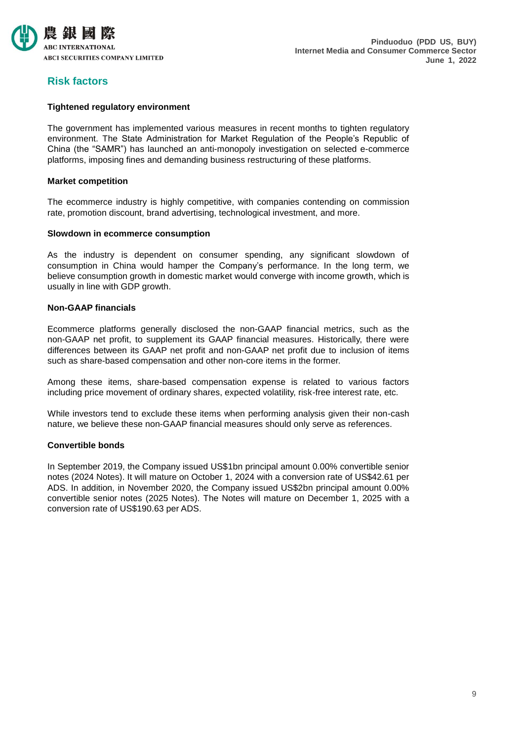

## **Risk factors**

## **Tightened regulatory environment**

The government has implemented various measures in recent months to tighten regulatory environment. The State Administration for Market Regulation of the People's Republic of China (the "SAMR") has launched an anti-monopoly investigation on selected e-commerce platforms, imposing fines and demanding business restructuring of these platforms.

## **Market competition**

The ecommerce industry is highly competitive, with companies contending on commission rate, promotion discount, brand advertising, technological investment, and more.

## **Slowdown in ecommerce consumption**

As the industry is dependent on consumer spending, any significant slowdown of consumption in China would hamper the Company's performance. In the long term, we believe consumption growth in domestic market would converge with income growth, which is usually in line with GDP growth.

## **Non-GAAP financials**

Ecommerce platforms generally disclosed the non-GAAP financial metrics, such as the non-GAAP net profit, to supplement its GAAP financial measures. Historically, there were differences between its GAAP net profit and non-GAAP net profit due to inclusion of items such as share-based compensation and other non-core items in the former.

Among these items, share-based compensation expense is related to various factors including price movement of ordinary shares, expected volatility, risk-free interest rate, etc.

While investors tend to exclude these items when performing analysis given their non-cash nature, we believe these non-GAAP financial measures should only serve as references.

## **Convertible bonds**

In September 2019, the Company issued US\$1bn principal amount 0.00% convertible senior notes (2024 Notes). It will mature on October 1, 2024 with a conversion rate of US\$42.61 per ADS. In addition, in November 2020, the Company issued US\$2bn principal amount 0.00% convertible senior notes (2025 Notes). The Notes will mature on December 1, 2025 with a conversion rate of US\$190.63 per ADS.